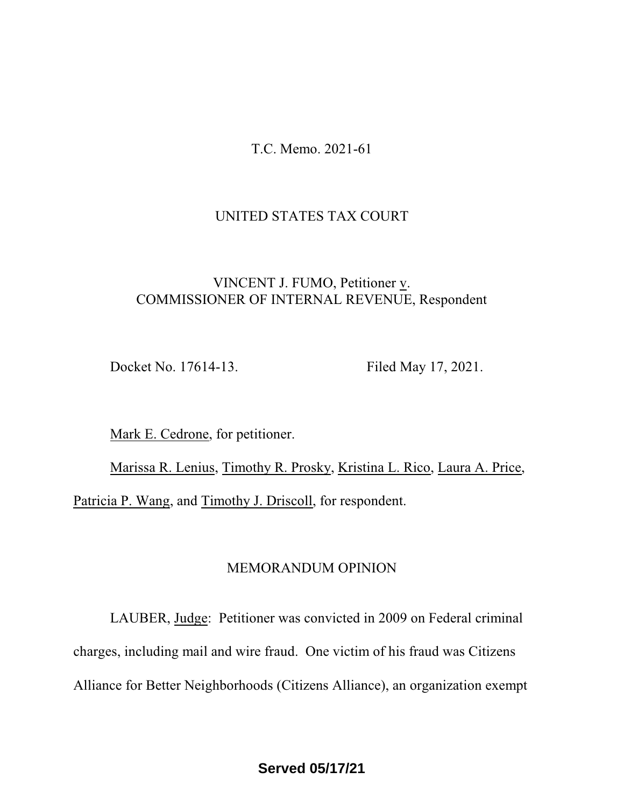T.C. Memo. 2021-61

## UNITED STATES TAX COURT

# VINCENT J. FUMO, Petitioner v. COMMISSIONER OF INTERNAL REVENUE, Respondent

Docket No. 17614-13. Filed May 17, 2021.

Mark E. Cedrone, for petitioner.

Marissa R. Lenius, Timothy R. Prosky, Kristina L. Rico, Laura A. Price, Patricia P. Wang, and Timothy J. Driscoll, for respondent.

### MEMORANDUM OPINION

LAUBER, Judge: Petitioner was convicted in 2009 on Federal criminal charges, including mail and wire fraud. One victim of his fraud was Citizens Alliance for Better Neighborhoods (Citizens Alliance), an organization exempt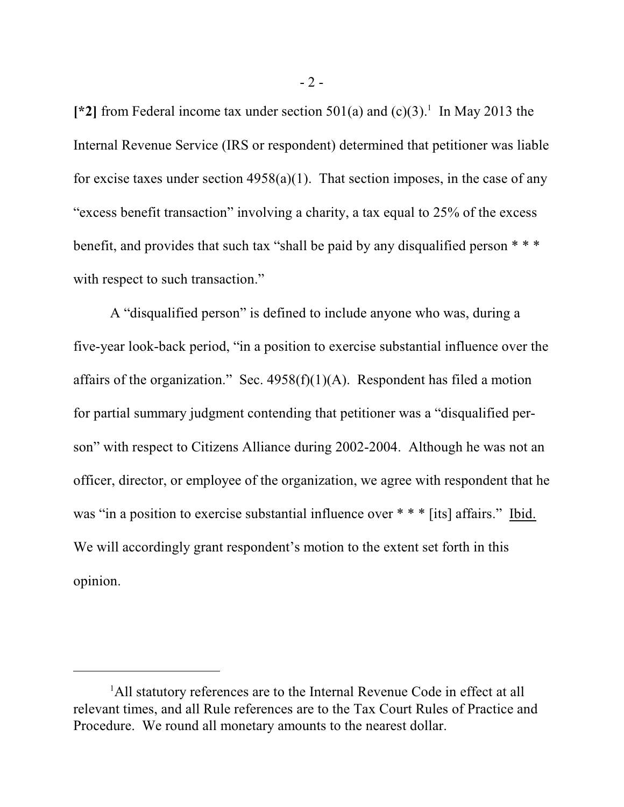[\*2] from Federal income tax under section  $501(a)$  and  $(c)(3)$ .<sup>1</sup> In May 2013 the Internal Revenue Service (IRS or respondent) determined that petitioner was liable for excise taxes under section  $4958(a)(1)$ . That section imposes, in the case of any "excess benefit transaction" involving a charity, a tax equal to 25% of the excess benefit, and provides that such tax "shall be paid by any disqualified person \* \* \* with respect to such transaction."

A "disqualified person" is defined to include anyone who was, during a five-year look-back period, "in a position to exercise substantial influence over the affairs of the organization." Sec.  $4958(f)(1)(A)$ . Respondent has filed a motion for partial summary judgment contending that petitioner was a "disqualified person" with respect to Citizens Alliance during 2002-2004. Although he was not an officer, director, or employee of the organization, we agree with respondent that he was "in a position to exercise substantial influence over \* \* \* [its] affairs." Ibid. We will accordingly grant respondent's motion to the extent set forth in this opinion.

<sup>&</sup>lt;sup>1</sup>All statutory references are to the Internal Revenue Code in effect at all relevant times, and all Rule references are to the Tax Court Rules of Practice and Procedure. We round all monetary amounts to the nearest dollar.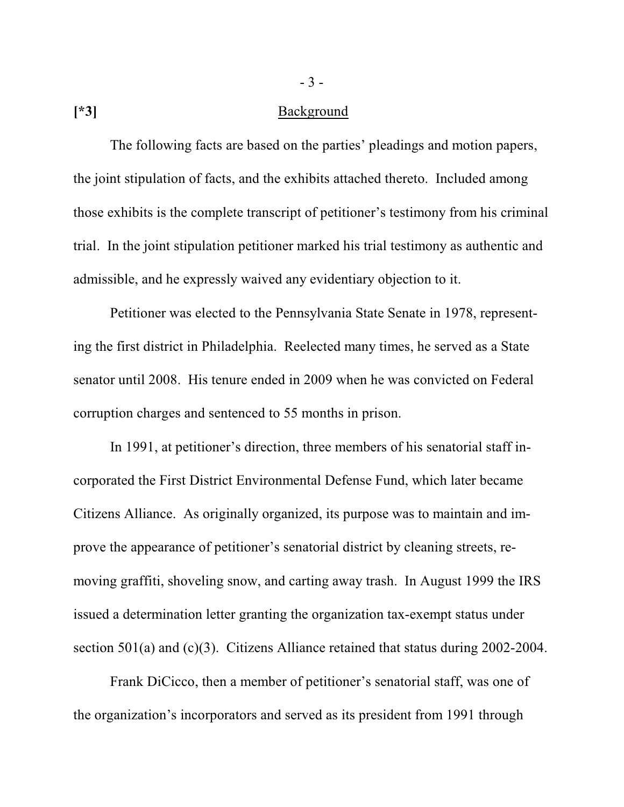### **[\*3]** Background

The following facts are based on the parties' pleadings and motion papers, the joint stipulation of facts, and the exhibits attached thereto. Included among those exhibits is the complete transcript of petitioner's testimony from his criminal trial. In the joint stipulation petitioner marked his trial testimony as authentic and admissible, and he expressly waived any evidentiary objection to it.

Petitioner was elected to the Pennsylvania State Senate in 1978, representing the first district in Philadelphia. Reelected many times, he served as a State senator until 2008. His tenure ended in 2009 when he was convicted on Federal corruption charges and sentenced to 55 months in prison.

In 1991, at petitioner's direction, three members of his senatorial staff incorporated the First District Environmental Defense Fund, which later became Citizens Alliance. As originally organized, its purpose was to maintain and improve the appearance of petitioner's senatorial district by cleaning streets, removing graffiti, shoveling snow, and carting away trash. In August 1999 the IRS issued a determination letter granting the organization tax-exempt status under section 501(a) and (c)(3). Citizens Alliance retained that status during 2002-2004.

Frank DiCicco, then a member of petitioner's senatorial staff, was one of the organization's incorporators and served as its president from 1991 through

- 3 -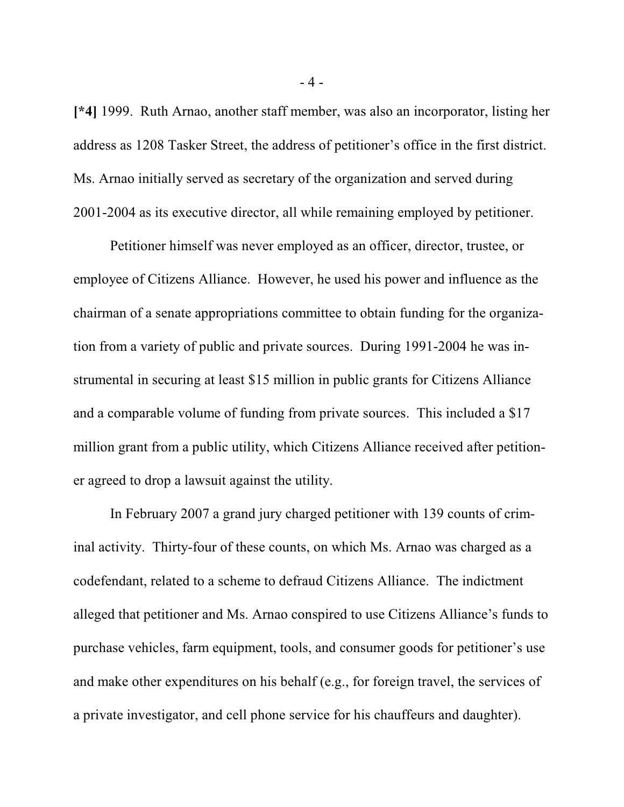**[\*4]** 1999. Ruth Arnao, another staff member, was also an incorporator, listing her address as 1208 Tasker Street, the address of petitioner's office in the first district. Ms. Arnao initially served as secretary of the organization and served during 2001-2004 as its executive director, all while remaining employed by petitioner.

Petitioner himself was never employed as an officer, director, trustee, or employee of Citizens Alliance. However, he used his power and influence as the chairman of a senate appropriations committee to obtain funding for the organization from a variety of public and private sources. During 1991-2004 he was instrumental in securing at least \$15 million in public grants for Citizens Alliance and a comparable volume of funding from private sources. This included a \$17 million grant from a public utility, which Citizens Alliance received after petitioner agreed to drop a lawsuit against the utility.

In February 2007 a grand jury charged petitioner with 139 counts of criminal activity. Thirty-four of these counts, on which Ms. Arnao was charged as a codefendant, related to a scheme to defraud Citizens Alliance. The indictment alleged that petitioner and Ms. Arnao conspired to use Citizens Alliance's funds to purchase vehicles, farm equipment, tools, and consumer goods for petitioner's use and make other expenditures on his behalf (e.g., for foreign travel, the services of a private investigator, and cell phone service for his chauffeurs and daughter).

- 4 -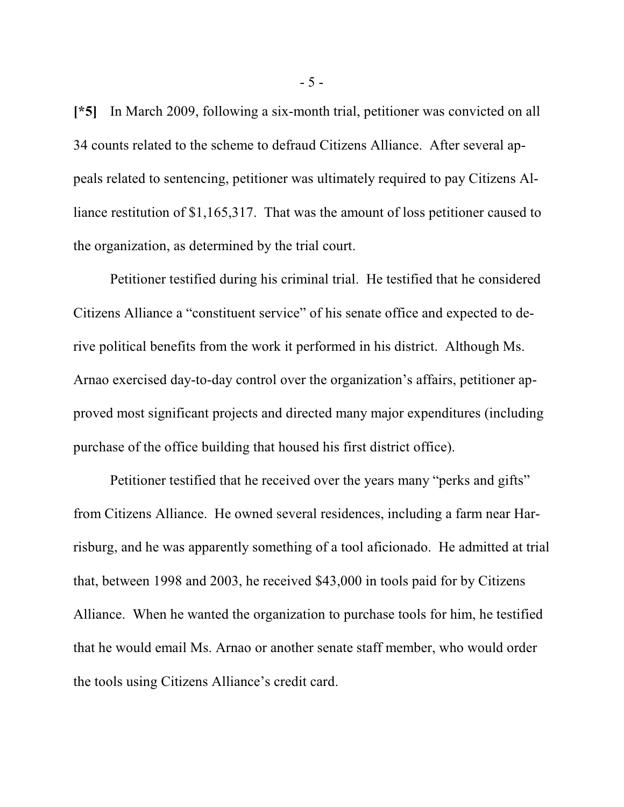**[\*5]** In March 2009, following a six-month trial, petitioner was convicted on all 34 counts related to the scheme to defraud Citizens Alliance. After several appeals related to sentencing, petitioner was ultimately required to pay Citizens Alliance restitution of \$1,165,317. That was the amount of loss petitioner caused to the organization, as determined by the trial court.

Petitioner testified during his criminal trial. He testified that he considered Citizens Alliance a "constituent service" of his senate office and expected to derive political benefits from the work it performed in his district. Although Ms. Arnao exercised day-to-day control over the organization's affairs, petitioner approved most significant projects and directed many major expenditures (including purchase of the office building that housed his first district office).

Petitioner testified that he received over the years many "perks and gifts" from Citizens Alliance. He owned several residences, including a farm near Harrisburg, and he was apparently something of a tool aficionado. He admitted at trial that, between 1998 and 2003, he received \$43,000 in tools paid for by Citizens Alliance. When he wanted the organization to purchase tools for him, he testified that he would email Ms. Arnao or another senate staff member, who would order the tools using Citizens Alliance's credit card.

- 5 -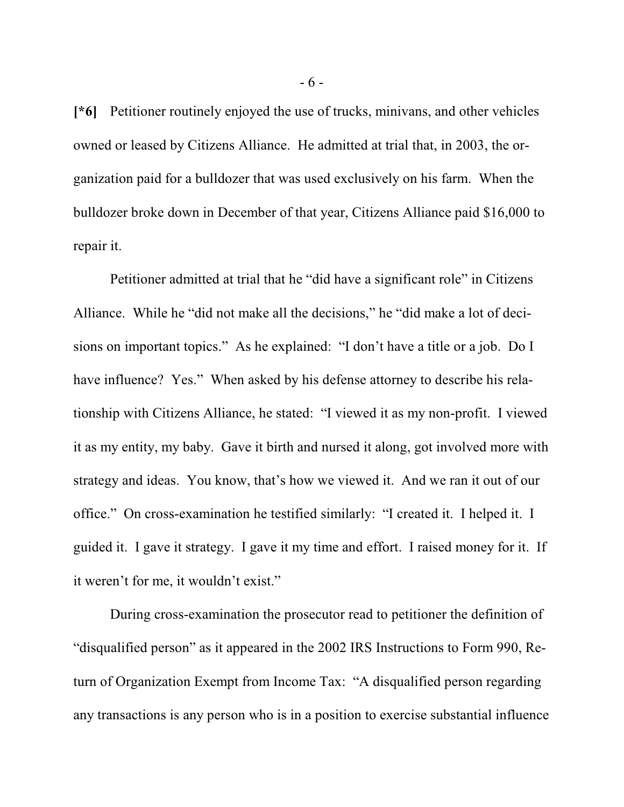**[\*6]** Petitioner routinely enjoyed the use of trucks, minivans, and other vehicles owned or leased by Citizens Alliance. He admitted at trial that, in 2003, the organization paid for a bulldozer that was used exclusively on his farm. When the bulldozer broke down in December of that year, Citizens Alliance paid \$16,000 to repair it.

Petitioner admitted at trial that he "did have a significant role" in Citizens Alliance. While he "did not make all the decisions," he "did make a lot of decisions on important topics." As he explained: "I don't have a title or a job. Do I have influence? Yes." When asked by his defense attorney to describe his relationship with Citizens Alliance, he stated: "I viewed it as my non-profit. I viewed it as my entity, my baby. Gave it birth and nursed it along, got involved more with strategy and ideas. You know, that's how we viewed it. And we ran it out of our office." On cross-examination he testified similarly: "I created it. I helped it. I guided it. I gave it strategy. I gave it my time and effort. I raised money for it. If it weren't for me, it wouldn't exist."

During cross-examination the prosecutor read to petitioner the definition of "disqualified person" as it appeared in the 2002 IRS Instructions to Form 990, Return of Organization Exempt from Income Tax: "A disqualified person regarding any transactions is any person who is in a position to exercise substantial influence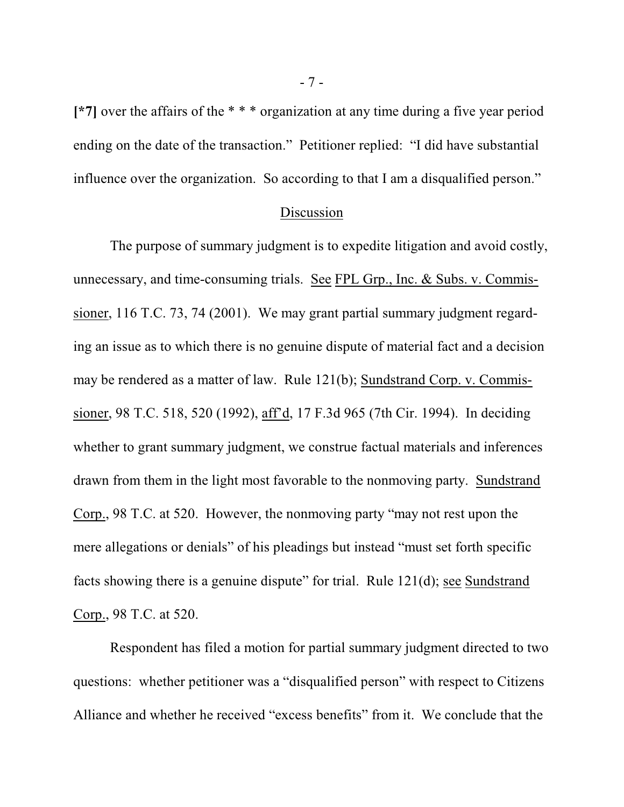**[\*7]** over the affairs of the \* \* \* organization at any time during a five year period ending on the date of the transaction." Petitioner replied: "I did have substantial influence over the organization. So according to that I am a disqualified person."

#### Discussion

The purpose of summary judgment is to expedite litigation and avoid costly, unnecessary, and time-consuming trials. See FPL Grp., Inc. & Subs. v. Commissioner, 116 T.C. 73, 74 (2001). We may grant partial summary judgment regarding an issue as to which there is no genuine dispute of material fact and a decision may be rendered as a matter of law. Rule 121(b); Sundstrand Corp. v. Commissioner, 98 T.C. 518, 520 (1992), aff'd, 17 F.3d 965 (7th Cir. 1994). In deciding whether to grant summary judgment, we construe factual materials and inferences drawn from them in the light most favorable to the nonmoving party. Sundstrand Corp., 98 T.C. at 520. However, the nonmoving party "may not rest upon the mere allegations or denials" of his pleadings but instead "must set forth specific facts showing there is a genuine dispute" for trial. Rule 121(d); see Sundstrand Corp., 98 T.C. at 520.

Respondent has filed a motion for partial summary judgment directed to two questions: whether petitioner was a "disqualified person" with respect to Citizens Alliance and whether he received "excess benefits" from it. We conclude that the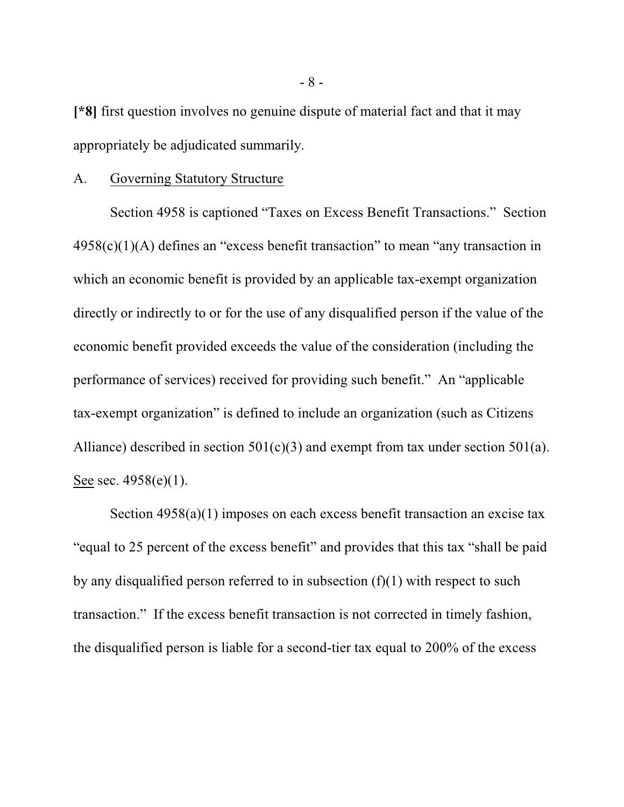**[\*8]** first question involves no genuine dispute of material fact and that it may appropriately be adjudicated summarily.

#### A. Governing Statutory Structure

Section 4958 is captioned "Taxes on Excess Benefit Transactions." Section  $4958(c)(1)(A)$  defines an "excess benefit transaction" to mean "any transaction in which an economic benefit is provided by an applicable tax-exempt organization directly or indirectly to or for the use of any disqualified person if the value of the economic benefit provided exceeds the value of the consideration (including the performance of services) received for providing such benefit." An "applicable tax-exempt organization" is defined to include an organization (such as Citizens Alliance) described in section  $501(c)(3)$  and exempt from tax under section  $501(a)$ . See sec. 4958(e)(1).

Section 4958(a)(1) imposes on each excess benefit transaction an excise tax "equal to 25 percent of the excess benefit" and provides that this tax "shall be paid by any disqualified person referred to in subsection  $(f)(1)$  with respect to such transaction." If the excess benefit transaction is not corrected in timely fashion, the disqualified person is liable for a second-tier tax equal to 200% of the excess

- 8 -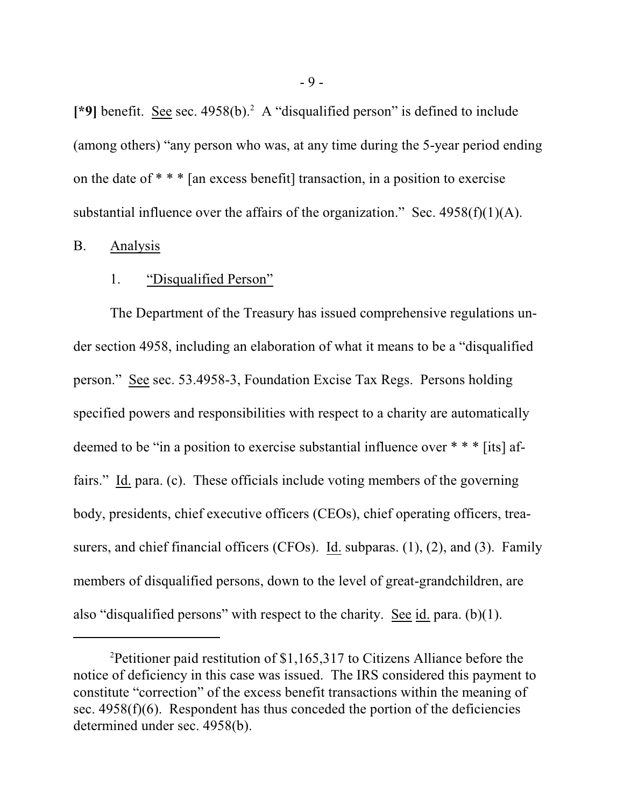[\*9] benefit. See sec. 4958(b).<sup>2</sup> A "disqualified person" is defined to include (among others) "any person who was, at any time during the 5-year period ending on the date of \* \* \* [an excess benefit] transaction, in a position to exercise substantial influence over the affairs of the organization." Sec.  $4958(f)(1)(A)$ .

#### B. Analysis

#### 1. "Disqualified Person"

The Department of the Treasury has issued comprehensive regulations under section 4958, including an elaboration of what it means to be a "disqualified person." See sec. 53.4958-3, Foundation Excise Tax Regs. Persons holding specified powers and responsibilities with respect to a charity are automatically deemed to be "in a position to exercise substantial influence over \* \* \* [its] affairs." Id. para. (c). These officials include voting members of the governing body, presidents, chief executive officers (CEOs), chief operating officers, treasurers, and chief financial officers (CFOs). Id. subparas. (1), (2), and (3). Family members of disqualified persons, down to the level of great-grandchildren, are also "disqualified persons" with respect to the charity. See id. para. (b)(1).

<sup>&</sup>lt;sup>2</sup>Petitioner paid restitution of \$1,165,317 to Citizens Alliance before the notice of deficiency in this case was issued. The IRS considered this payment to constitute "correction" of the excess benefit transactions within the meaning of sec.  $4958(f)(6)$ . Respondent has thus conceded the portion of the deficiencies determined under sec. 4958(b).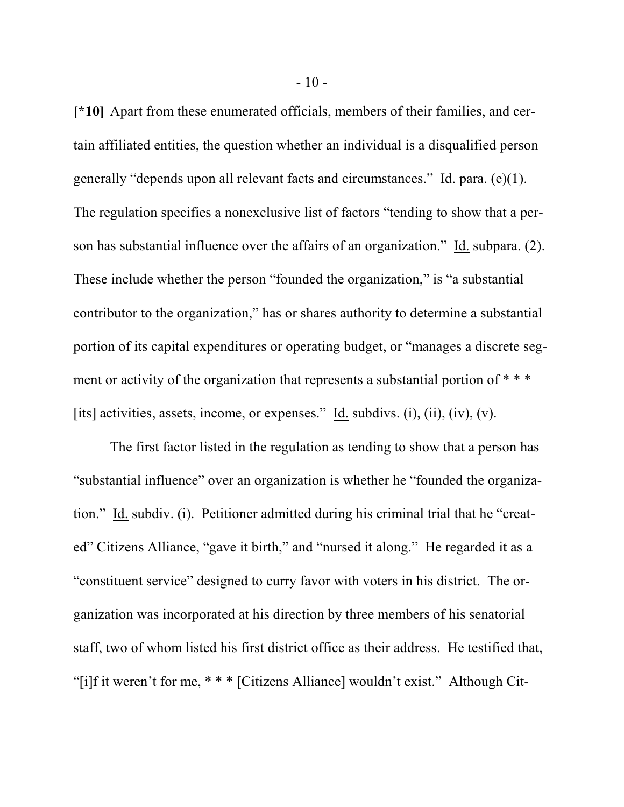**[\*10]** Apart from these enumerated officials, members of their families, and certain affiliated entities, the question whether an individual is a disqualified person generally "depends upon all relevant facts and circumstances." Id. para. (e)(1). The regulation specifies a nonexclusive list of factors "tending to show that a person has substantial influence over the affairs of an organization." Id. subpara. (2). These include whether the person "founded the organization," is "a substantial contributor to the organization," has or shares authority to determine a substantial portion of its capital expenditures or operating budget, or "manages a discrete segment or activity of the organization that represents a substantial portion of \*\*\* [its] activities, assets, income, or expenses." Id. subdivs. (i), (ii), (iv), (v).

The first factor listed in the regulation as tending to show that a person has "substantial influence" over an organization is whether he "founded the organization." Id. subdiv. (i). Petitioner admitted during his criminal trial that he "created" Citizens Alliance, "gave it birth," and "nursed it along." He regarded it as a "constituent service" designed to curry favor with voters in his district. The organization was incorporated at his direction by three members of his senatorial staff, two of whom listed his first district office as their address. He testified that, "[i]f it weren't for me, \* \* \* [Citizens Alliance] wouldn't exist." Although Cit-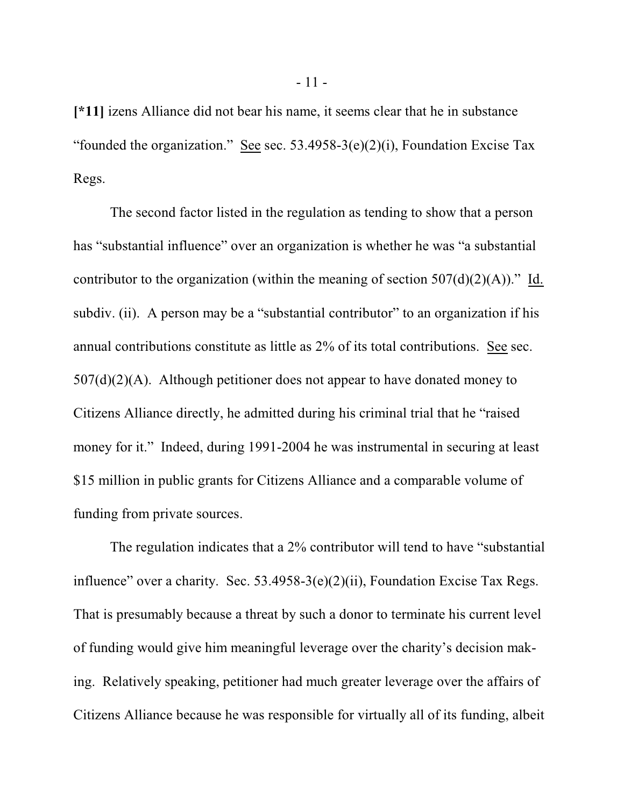**[\*11]** izens Alliance did not bear his name, it seems clear that he in substance "founded the organization." See sec.  $53.4958-3(e)(2)(i)$ , Foundation Excise Tax Regs.

The second factor listed in the regulation as tending to show that a person has "substantial influence" over an organization is whether he was "a substantial contributor to the organization (within the meaning of section  $507(d)(2)(A)$ )." Id. subdiv. (ii). A person may be a "substantial contributor" to an organization if his annual contributions constitute as little as 2% of its total contributions. See sec.  $507(d)(2)(A)$ . Although petitioner does not appear to have donated money to Citizens Alliance directly, he admitted during his criminal trial that he "raised money for it." Indeed, during 1991-2004 he was instrumental in securing at least \$15 million in public grants for Citizens Alliance and a comparable volume of funding from private sources.

The regulation indicates that a 2% contributor will tend to have "substantial influence" over a charity. Sec. 53.4958-3(e)(2)(ii), Foundation Excise Tax Regs. That is presumably because a threat by such a donor to terminate his current level of funding would give him meaningful leverage over the charity's decision making. Relatively speaking, petitioner had much greater leverage over the affairs of Citizens Alliance because he was responsible for virtually all of its funding, albeit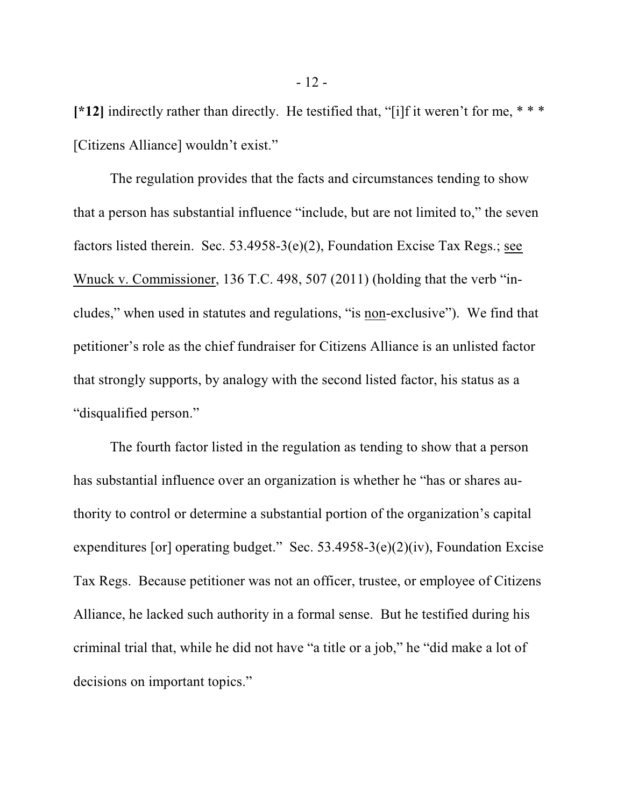**[\*12]** indirectly rather than directly. He testified that, "[i]f it weren't for me, \* \* \* [Citizens Alliance] wouldn't exist."

The regulation provides that the facts and circumstances tending to show that a person has substantial influence "include, but are not limited to," the seven factors listed therein. Sec. 53.4958-3(e)(2), Foundation Excise Tax Regs.; see Wnuck v. Commissioner, 136 T.C. 498, 507 (2011) (holding that the verb "includes," when used in statutes and regulations, "is non-exclusive"). We find that petitioner's role as the chief fundraiser for Citizens Alliance is an unlisted factor that strongly supports, by analogy with the second listed factor, his status as a "disqualified person."

The fourth factor listed in the regulation as tending to show that a person has substantial influence over an organization is whether he "has or shares authority to control or determine a substantial portion of the organization's capital expenditures [or] operating budget." Sec.  $53.4958-3(e)(2)(iv)$ , Foundation Excise Tax Regs. Because petitioner was not an officer, trustee, or employee of Citizens Alliance, he lacked such authority in a formal sense. But he testified during his criminal trial that, while he did not have "a title or a job," he "did make a lot of decisions on important topics."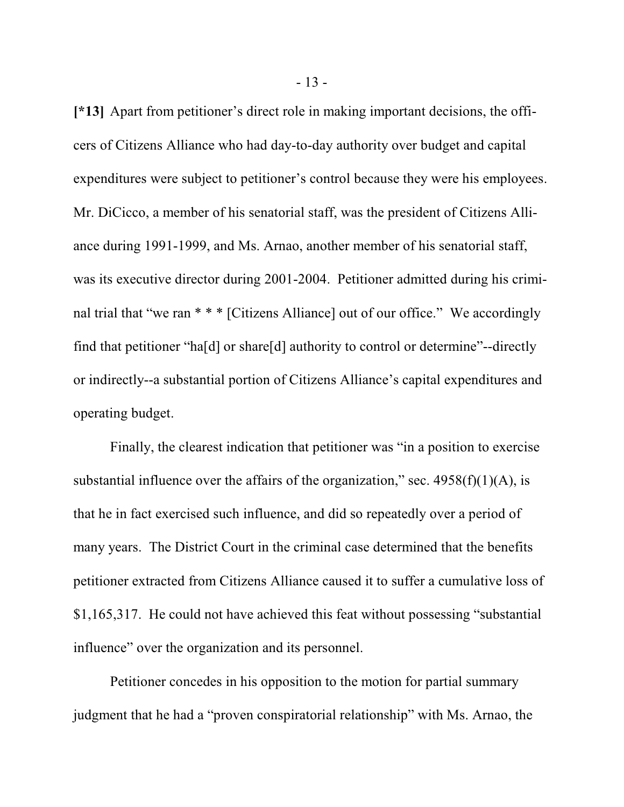**[\*13]** Apart from petitioner's direct role in making important decisions, the officers of Citizens Alliance who had day-to-day authority over budget and capital expenditures were subject to petitioner's control because they were his employees. Mr. DiCicco, a member of his senatorial staff, was the president of Citizens Alliance during 1991-1999, and Ms. Arnao, another member of his senatorial staff, was its executive director during 2001-2004. Petitioner admitted during his criminal trial that "we ran \* \* \* [Citizens Alliance] out of our office." We accordingly find that petitioner "ha[d] or share[d] authority to control or determine"--directly or indirectly--a substantial portion of Citizens Alliance's capital expenditures and operating budget.

Finally, the clearest indication that petitioner was "in a position to exercise substantial influence over the affairs of the organization," sec.  $4958(f)(1)(A)$ , is that he in fact exercised such influence, and did so repeatedly over a period of many years. The District Court in the criminal case determined that the benefits petitioner extracted from Citizens Alliance caused it to suffer a cumulative loss of \$1,165,317. He could not have achieved this feat without possessing "substantial influence" over the organization and its personnel.

Petitioner concedes in his opposition to the motion for partial summary judgment that he had a "proven conspiratorial relationship" with Ms. Arnao, the

- 13 -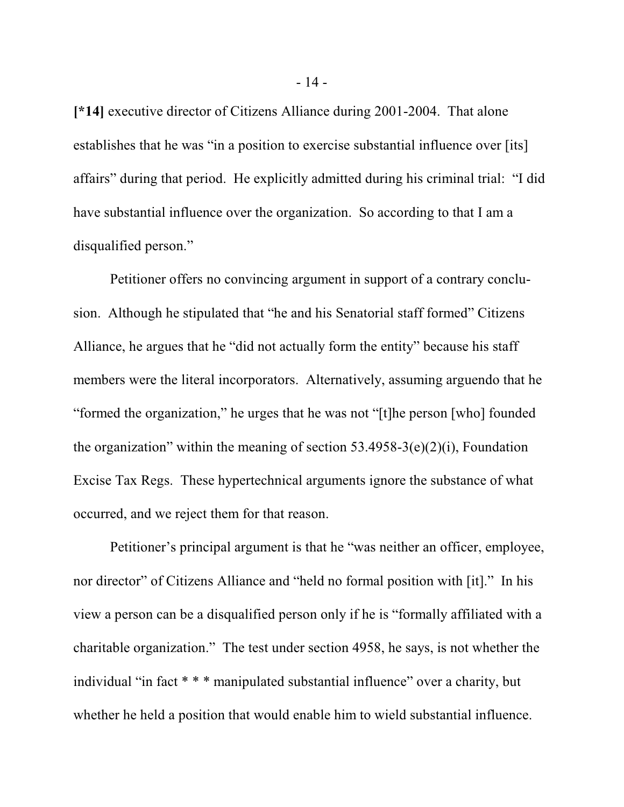**[\*14]** executive director of Citizens Alliance during 2001-2004. That alone establishes that he was "in a position to exercise substantial influence over [its] affairs" during that period. He explicitly admitted during his criminal trial: "I did have substantial influence over the organization. So according to that I am a disqualified person."

Petitioner offers no convincing argument in support of a contrary conclusion. Although he stipulated that "he and his Senatorial staff formed" Citizens Alliance, he argues that he "did not actually form the entity" because his staff members were the literal incorporators. Alternatively, assuming arguendo that he "formed the organization," he urges that he was not "[t]he person [who] founded the organization" within the meaning of section  $53.4958-3(e)(2)(i)$ , Foundation Excise Tax Regs. These hypertechnical arguments ignore the substance of what occurred, and we reject them for that reason.

Petitioner's principal argument is that he "was neither an officer, employee, nor director" of Citizens Alliance and "held no formal position with [it]." In his view a person can be a disqualified person only if he is "formally affiliated with a charitable organization." The test under section 4958, he says, is not whether the individual "in fact \* \* \* manipulated substantial influence" over a charity, but whether he held a position that would enable him to wield substantial influence.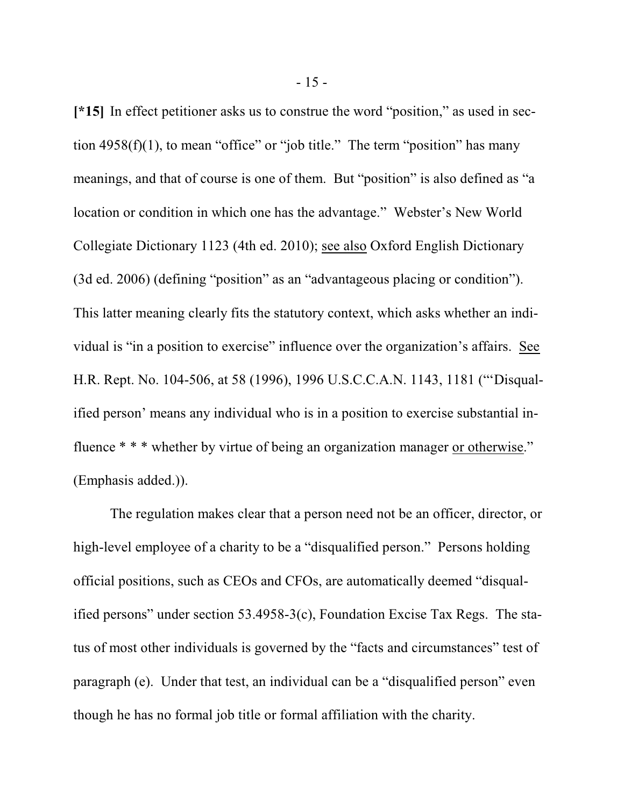**[\*15]** In effect petitioner asks us to construe the word "position," as used in section  $4958(f)(1)$ , to mean "office" or "job title." The term "position" has many meanings, and that of course is one of them. But "position" is also defined as "a location or condition in which one has the advantage." Webster's New World Collegiate Dictionary 1123 (4th ed. 2010); see also Oxford English Dictionary (3d ed. 2006) (defining "position" as an "advantageous placing or condition"). This latter meaning clearly fits the statutory context, which asks whether an individual is "in a position to exercise" influence over the organization's affairs. See H.R. Rept. No. 104-506, at 58 (1996), 1996 U.S.C.C.A.N. 1143, 1181 ("'Disqualified person' means any individual who is in a position to exercise substantial influence \* \* \* whether by virtue of being an organization manager or otherwise." (Emphasis added.)).

The regulation makes clear that a person need not be an officer, director, or high-level employee of a charity to be a "disqualified person." Persons holding official positions, such as CEOs and CFOs, are automatically deemed "disqualified persons" under section 53.4958-3(c), Foundation Excise Tax Regs. The status of most other individuals is governed by the "facts and circumstances" test of paragraph (e). Under that test, an individual can be a "disqualified person" even though he has no formal job title or formal affiliation with the charity.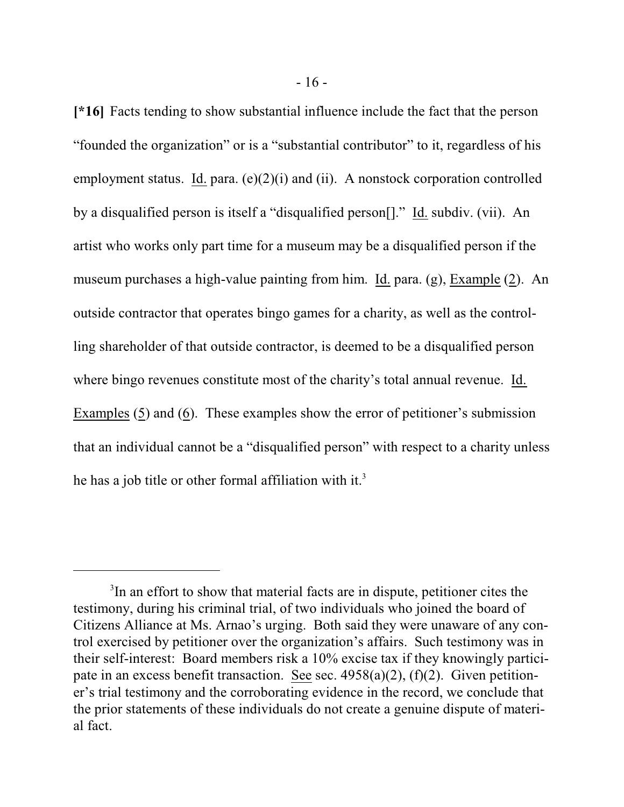**[\*16]** Facts tending to show substantial influence include the fact that the person "founded the organization" or is a "substantial contributor" to it, regardless of his employment status. Id. para.  $(e)(2)(i)$  and  $(ii)$ . A nonstock corporation controlled by a disqualified person is itself a "disqualified person[]." Id. subdiv. (vii). An artist who works only part time for a museum may be a disqualified person if the museum purchases a high-value painting from him. Id. para. (g), Example (2). An outside contractor that operates bingo games for a charity, as well as the controlling shareholder of that outside contractor, is deemed to be a disqualified person where bingo revenues constitute most of the charity's total annual revenue. Id. Examples (5) and (6). These examples show the error of petitioner's submission that an individual cannot be a "disqualified person" with respect to a charity unless he has a job title or other formal affiliation with it.<sup>3</sup>

<sup>&</sup>lt;sup>3</sup>In an effort to show that material facts are in dispute, petitioner cites the testimony, during his criminal trial, of two individuals who joined the board of Citizens Alliance at Ms. Arnao's urging. Both said they were unaware of any control exercised by petitioner over the organization's affairs. Such testimony was in their self-interest: Board members risk a 10% excise tax if they knowingly participate in an excess benefit transaction. See sec. 4958(a)(2), (f)(2). Given petitioner's trial testimony and the corroborating evidence in the record, we conclude that the prior statements of these individuals do not create a genuine dispute of material fact.